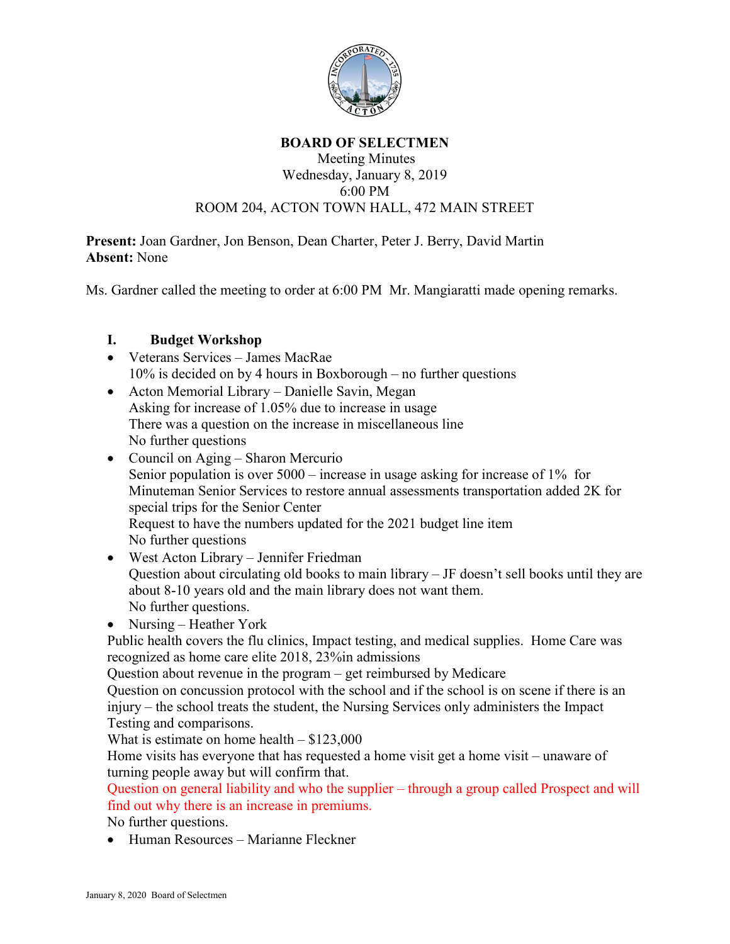

## **BOARD OF SELECTMEN**

## Meeting Minutes Wednesday, January 8, 2019 6:00 PM ROOM 204, ACTON TOWN HALL, 472 MAIN STREET

**Present:** Joan Gardner, Jon Benson, Dean Charter, Peter J. Berry, David Martin **Absent:** None

Ms. Gardner called the meeting to order at 6:00 PM Mr. Mangiaratti made opening remarks.

## **I. Budget Workshop**

- Veterans Services James MacRae 10% is decided on by 4 hours in Boxborough – no further questions
- Acton Memorial Library Danielle Savin, Megan Asking for increase of 1.05% due to increase in usage There was a question on the increase in miscellaneous line No further questions
- Council on Aging Sharon Mercurio Senior population is over 5000 – increase in usage asking for increase of 1% for Minuteman Senior Services to restore annual assessments transportation added 2K for special trips for the Senior Center Request to have the numbers updated for the 2021 budget line item No further questions
- West Acton Library Jennifer Friedman Question about circulating old books to main library – JF doesn't sell books until they are about 8-10 years old and the main library does not want them. No further questions.
- Nursing Heather York

Public health covers the flu clinics, Impact testing, and medical supplies. Home Care was recognized as home care elite 2018, 23%in admissions

Question about revenue in the program – get reimbursed by Medicare

Question on concussion protocol with the school and if the school is on scene if there is an injury – the school treats the student, the Nursing Services only administers the Impact Testing and comparisons.

What is estimate on home health  $-$  \$123,000

Home visits has everyone that has requested a home visit get a home visit – unaware of turning people away but will confirm that.

Question on general liability and who the supplier – through a group called Prospect and will find out why there is an increase in premiums.

No further questions.

• Human Resources – Marianne Fleckner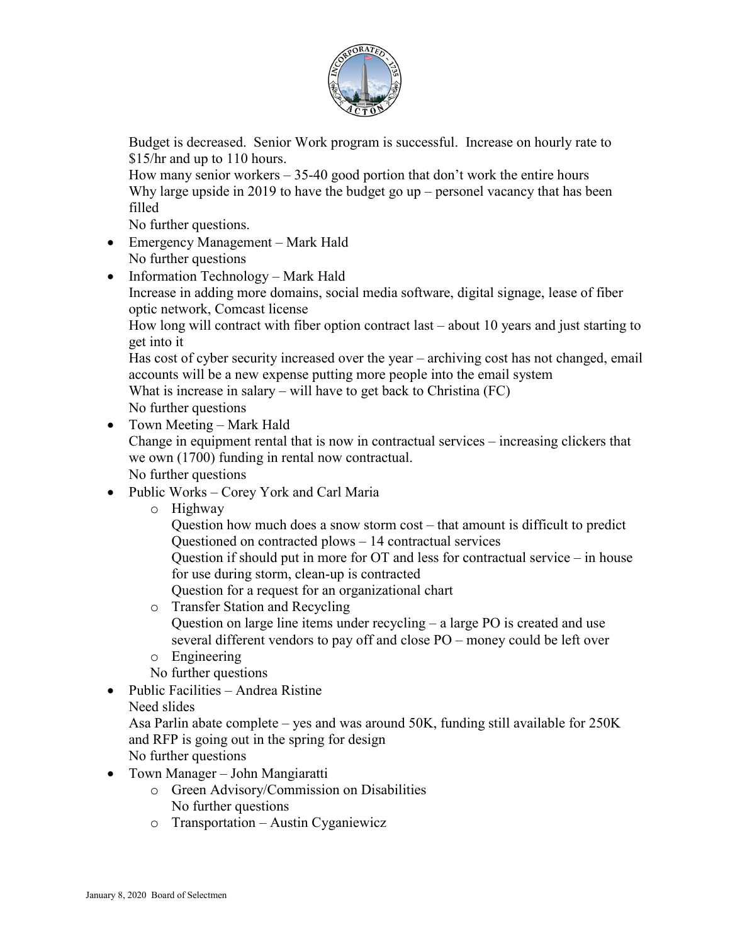

Budget is decreased. Senior Work program is successful. Increase on hourly rate to \$15/hr and up to 110 hours.

How many senior workers  $-35-40$  good portion that don't work the entire hours Why large upside in 2019 to have the budget go up – personel vacancy that has been filled

No further questions.

- Emergency Management Mark Hald No further questions
- Information Technology Mark Hald Increase in adding more domains, social media software, digital signage, lease of fiber optic network, Comcast license

How long will contract with fiber option contract last – about 10 years and just starting to get into it

Has cost of cyber security increased over the year – archiving cost has not changed, email accounts will be a new expense putting more people into the email system

What is increase in salary – will have to get back to Christina (FC) No further questions

- Town Meeting Mark Hald Change in equipment rental that is now in contractual services – increasing clickers that we own (1700) funding in rental now contractual. No further questions
- Public Works Corey York and Carl Maria
	- o Highway

Question how much does a snow storm cost – that amount is difficult to predict Questioned on contracted plows – 14 contractual services

Question if should put in more for OT and less for contractual service – in house for use during storm, clean-up is contracted

Question for a request for an organizational chart

- o Transfer Station and Recycling Question on large line items under recycling – a large PO is created and use several different vendors to pay off and close PO – money could be left over
- o Engineering
- No further questions
- Public Facilities Andrea Ristine

Need slides

Asa Parlin abate complete – yes and was around 50K, funding still available for 250K and RFP is going out in the spring for design

No further questions

- Town Manager John Mangiaratti
	- o Green Advisory/Commission on Disabilities No further questions
	- o Transportation Austin Cyganiewicz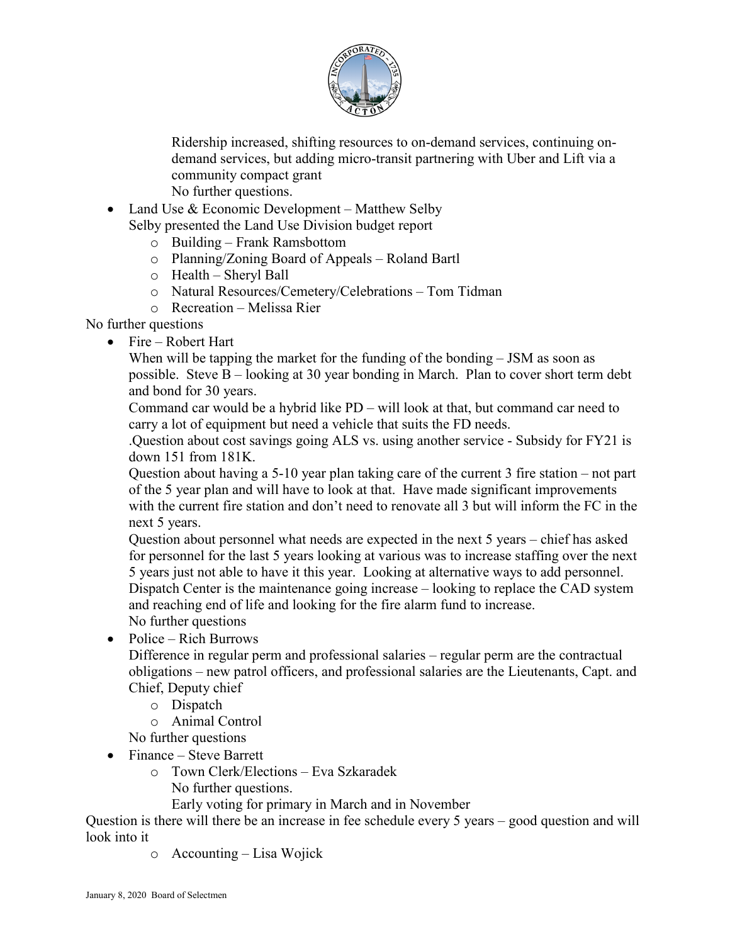

Ridership increased, shifting resources to on-demand services, continuing ondemand services, but adding micro-transit partnering with Uber and Lift via a community compact grant No further questions.

• Land Use  $&$  Economic Development – Matthew Selby Selby presented the Land Use Division budget report

- o Building Frank Ramsbottom
- o Planning/Zoning Board of Appeals Roland Bartl
- o Health Sheryl Ball
- o Natural Resources/Cemetery/Celebrations Tom Tidman
- o Recreation Melissa Rier

No further questions

• Fire – Robert Hart

When will be tapping the market for the funding of the bonding – JSM as soon as possible. Steve  $B$  – looking at 30 year bonding in March. Plan to cover short term debt and bond for 30 years.

Command car would be a hybrid like PD – will look at that, but command car need to carry a lot of equipment but need a vehicle that suits the FD needs.

.Question about cost savings going ALS vs. using another service - Subsidy for FY21 is down 151 from 181K.

Question about having a 5-10 year plan taking care of the current 3 fire station – not part of the 5 year plan and will have to look at that. Have made significant improvements with the current fire station and don't need to renovate all 3 but will inform the FC in the next 5 years.

Question about personnel what needs are expected in the next 5 years – chief has asked for personnel for the last 5 years looking at various was to increase staffing over the next 5 years just not able to have it this year. Looking at alternative ways to add personnel. Dispatch Center is the maintenance going increase – looking to replace the CAD system and reaching end of life and looking for the fire alarm fund to increase. No further questions

• Police – Rich Burrows

Difference in regular perm and professional salaries – regular perm are the contractual obligations – new patrol officers, and professional salaries are the Lieutenants, Capt. and Chief, Deputy chief

- o Dispatch
- o Animal Control

No further questions

- Finance Steve Barrett
	- o Town Clerk/Elections Eva Szkaradek No further questions.

Early voting for primary in March and in November

Question is there will there be an increase in fee schedule every 5 years – good question and will look into it

o Accounting – Lisa Wojick